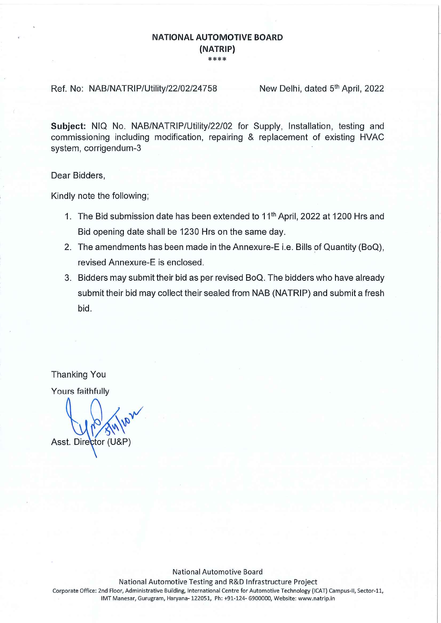## **NATIONAL AUTOMOTIVE BOARD** (NATRIP) \*\*\*\*

Ref. No: NAB/NATRIP/Utility/22/02/24758

New Delhi, dated 5th April, 2022

Subject: NIQ No. NAB/NATRIP/Utility/22/02 for Supply. Installation, testing and commissioning including modification, repairing & replacement of existing HVAC system, corrigendum-3

Dear Bidders,

Kindly note the following;

- 1. The Bid submission date has been extended to 11<sup>th</sup> April, 2022 at 1200 Hrs and Bid opening date shall be 1230 Hrs on the same day.
- 2. The amendments has been made in the Annexure-E i.e. Bills of Quantity (BoQ), revised Annexure-E is enclosed.
- 3. Bidders may submit their bid as per revised BoQ. The bidders who have already submit their bid may collect their sealed from NAB (NATRIP) and submit a fresh bid.

**Thanking You** Yours faithfully

Asst. Director

**National Automotive Board** National Automotive Testing and R&D Infrastructure Project Corporate Office: 2nd Floor, Administrative Building, International Centre for Automotive Technology (ICAT) Campus-II, Sector-11, IMT Manesar, Gurugram, Haryana- 122051, Ph: +91-124- 6900000, Website: www.natrip.in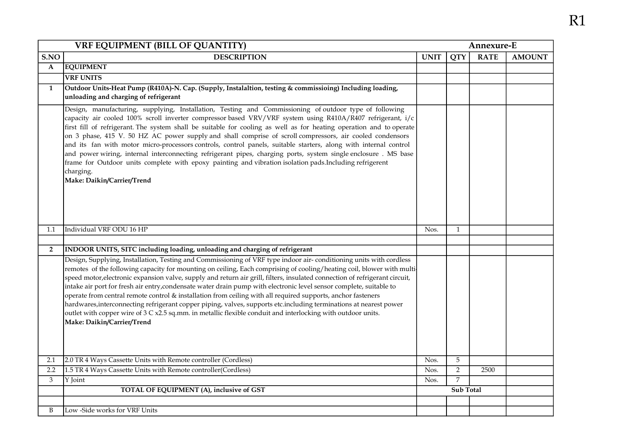| <b>VRF EQUIPMENT (BILL OF QUANTITY)</b><br>Annexure-E |                                                                                                                                                                                                                                                                                                                                                                                                                                                                                                                                                                                                                                                                                                                                                                                                                                                                                           |                  |                |             |               |
|-------------------------------------------------------|-------------------------------------------------------------------------------------------------------------------------------------------------------------------------------------------------------------------------------------------------------------------------------------------------------------------------------------------------------------------------------------------------------------------------------------------------------------------------------------------------------------------------------------------------------------------------------------------------------------------------------------------------------------------------------------------------------------------------------------------------------------------------------------------------------------------------------------------------------------------------------------------|------------------|----------------|-------------|---------------|
| S.NO                                                  | <b>DESCRIPTION</b>                                                                                                                                                                                                                                                                                                                                                                                                                                                                                                                                                                                                                                                                                                                                                                                                                                                                        | <b>UNIT</b>      | <b>QTY</b>     | <b>RATE</b> | <b>AMOUNT</b> |
| $\mathbf A$                                           | <b>EQUIPMENT</b>                                                                                                                                                                                                                                                                                                                                                                                                                                                                                                                                                                                                                                                                                                                                                                                                                                                                          |                  |                |             |               |
|                                                       | <b>VRF UNITS</b>                                                                                                                                                                                                                                                                                                                                                                                                                                                                                                                                                                                                                                                                                                                                                                                                                                                                          |                  |                |             |               |
| $\mathbf{1}$                                          | Outdoor Units-Heat Pump (R410A)-N. Cap. (Supply, Instalaltion, testing & commissioing) Including loading,<br>unloading and charging of refrigerant                                                                                                                                                                                                                                                                                                                                                                                                                                                                                                                                                                                                                                                                                                                                        |                  |                |             |               |
|                                                       | Design, manufacturing, supplying, Installation, Testing and Commissioning of outdoor type of following<br>capacity air cooled 100% scroll inverter compressor based VRV/VRF system using R410A/R407 refrigerant, i/c<br>first fill of refrigerant. The system shall be suitable for cooling as well as for heating operation and to operate<br>on 3 phase, 415 V. 50 HZ AC power supply and shall comprise of scroll compressors, air cooled condensors<br>and its fan with motor micro-processors controls, control panels, suitable starters, along with internal control<br>and power wiring, internal interconnecting refrigerant pipes, charging ports, system single enclosure. MS base<br>frame for Outdoor units complete with epoxy painting and vibration isolation pads. Including refrigerent<br>charging.<br>Make: Daikin/Carrier/Trend                                      |                  |                |             |               |
| 1.1                                                   | Individual VRF ODU 16 HP                                                                                                                                                                                                                                                                                                                                                                                                                                                                                                                                                                                                                                                                                                                                                                                                                                                                  | Nos.             | $\mathbf{1}$   |             |               |
|                                                       |                                                                                                                                                                                                                                                                                                                                                                                                                                                                                                                                                                                                                                                                                                                                                                                                                                                                                           |                  |                |             |               |
| $\overline{2}$                                        | INDOOR UNITS, SITC including loading, unloading and charging of refrigerant                                                                                                                                                                                                                                                                                                                                                                                                                                                                                                                                                                                                                                                                                                                                                                                                               |                  |                |             |               |
|                                                       | Design, Supplying, Installation, Testing and Commissioning of VRF type indoor air-conditioning units with cordless<br>remotes of the following capacity for mounting on ceiling, Each comprising of cooling/heating coil, blower with multi-<br>speed motor, electronic expansion valve, supply and return air grill, filters, insulated connection of refrigerant circuit,<br>intake air port for fresh air entry, condensate water drain pump with electronic level sensor complete, suitable to<br>operate from central remote control & installation from ceiling with all required supports, anchor fasteners<br>hardwares, interconnecting refrigerant copper piping, valves, supports etc.including terminations at nearest power<br>outlet with copper wire of $3 C x 2.5$ sq.mm. in metallic flexible conduit and interlocking with outdoor units.<br>Make: Daikin/Carrier/Trend |                  |                |             |               |
| 2.1                                                   | 2.0 TR 4 Ways Cassette Units with Remote controller (Cordless)                                                                                                                                                                                                                                                                                                                                                                                                                                                                                                                                                                                                                                                                                                                                                                                                                            | Nos.             | 5              |             |               |
| 2.2                                                   | 1.5 TR 4 Ways Cassette Units with Remote controller(Cordless)                                                                                                                                                                                                                                                                                                                                                                                                                                                                                                                                                                                                                                                                                                                                                                                                                             | Nos.             | $\overline{2}$ | 2500        |               |
| 3                                                     | Y Joint                                                                                                                                                                                                                                                                                                                                                                                                                                                                                                                                                                                                                                                                                                                                                                                                                                                                                   | Nos.             | 7              |             |               |
|                                                       | TOTAL OF EQUIPMENT (A), inclusive of GST                                                                                                                                                                                                                                                                                                                                                                                                                                                                                                                                                                                                                                                                                                                                                                                                                                                  | <b>Sub Total</b> |                |             |               |
|                                                       |                                                                                                                                                                                                                                                                                                                                                                                                                                                                                                                                                                                                                                                                                                                                                                                                                                                                                           |                  |                |             |               |
| B                                                     | Low -Side works for VRF Units                                                                                                                                                                                                                                                                                                                                                                                                                                                                                                                                                                                                                                                                                                                                                                                                                                                             |                  |                |             |               |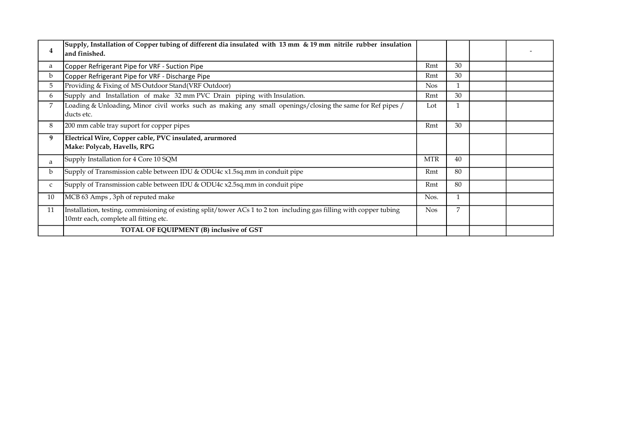| 4           | Supply, Installation of Copper tubing of different dia insulated with 13 mm $\&$ 19 mm nitrile rubber insulation<br>land finished.                           |            |    |  |
|-------------|--------------------------------------------------------------------------------------------------------------------------------------------------------------|------------|----|--|
| a           | Copper Refrigerant Pipe for VRF - Suction Pipe                                                                                                               | Rmt        | 30 |  |
| $\mathbf b$ | Copper Refrigerant Pipe for VRF - Discharge Pipe                                                                                                             | Rmt        | 30 |  |
| 5           | Providing & Fixing of MS Outdoor Stand(VRF Outdoor)                                                                                                          | <b>Nos</b> |    |  |
| 6           | Supply and Installation of make 32 mm PVC Drain piping with Insulation.                                                                                      | Rmt        | 30 |  |
| 7           | Loading & Unloading, Minor civil works such as making any small openings/closing the same for Ref pipes /<br>ducts etc.                                      | Lot        |    |  |
| 8           | 200 mm cable tray suport for copper pipes                                                                                                                    | Rmt        | 30 |  |
| 9           | Electrical Wire, Copper cable, PVC insulated, arurmored<br>Make: Polycab, Havells, RPG                                                                       |            |    |  |
| a           | Supply Installation for 4 Core 10 SQM                                                                                                                        | <b>MTR</b> | 40 |  |
| b           | Supply of Transmission cable between IDU & ODU4c x1.5sq.mm in conduit pipe                                                                                   | Rmt        | 80 |  |
| $\mathsf C$ | Supply of Transmission cable between IDU & ODU4c x2.5sq.mm in conduit pipe                                                                                   | Rmt        | 80 |  |
| 10          | MCB 63 Amps, 3ph of reputed make                                                                                                                             | Nos.       |    |  |
| 11          | Installation, testing, commisioning of existing split/tower ACs 1 to 2 ton including gas filling with copper tubing<br>10mtr each, complete all fitting etc. | <b>Nos</b> | 7  |  |
|             | TOTAL OF EQUIPMENT (B) inclusive of GST                                                                                                                      |            |    |  |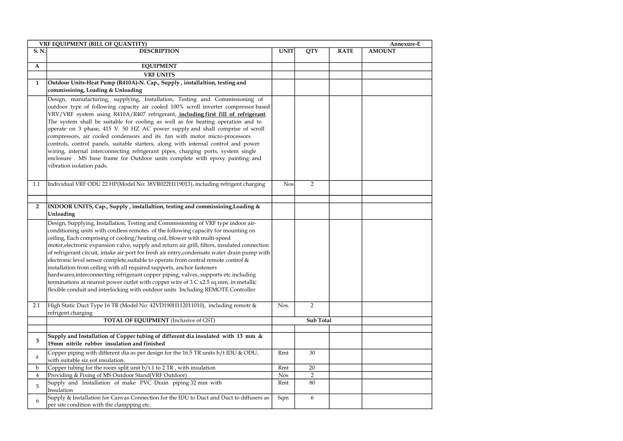| VRF EQUIPMENT (BILL OF QUANTITY)<br>Annexure-E |                                                                                                                                                                                                                                                                                                                                                                                                                                                                                                                                                                                                                                                                                                                                                                                                                                                                                                        |             |                |             |               |  |
|------------------------------------------------|--------------------------------------------------------------------------------------------------------------------------------------------------------------------------------------------------------------------------------------------------------------------------------------------------------------------------------------------------------------------------------------------------------------------------------------------------------------------------------------------------------------------------------------------------------------------------------------------------------------------------------------------------------------------------------------------------------------------------------------------------------------------------------------------------------------------------------------------------------------------------------------------------------|-------------|----------------|-------------|---------------|--|
| S. N.                                          | <b>DESCRIPTION</b>                                                                                                                                                                                                                                                                                                                                                                                                                                                                                                                                                                                                                                                                                                                                                                                                                                                                                     | <b>UNIT</b> | QTY            | <b>RATE</b> | <b>AMOUNT</b> |  |
|                                                |                                                                                                                                                                                                                                                                                                                                                                                                                                                                                                                                                                                                                                                                                                                                                                                                                                                                                                        |             |                |             |               |  |
| A                                              | <b>EQUIPMENT</b>                                                                                                                                                                                                                                                                                                                                                                                                                                                                                                                                                                                                                                                                                                                                                                                                                                                                                       |             |                |             |               |  |
|                                                | <b>VRF UNITS</b>                                                                                                                                                                                                                                                                                                                                                                                                                                                                                                                                                                                                                                                                                                                                                                                                                                                                                       |             |                |             |               |  |
| $\mathbf{1}$                                   | Outdoor Units-Heat Pump (R410A)-N. Cap., Supply, installaltion, testing and                                                                                                                                                                                                                                                                                                                                                                                                                                                                                                                                                                                                                                                                                                                                                                                                                            |             |                |             |               |  |
|                                                | commissioing, Loading & Unloading                                                                                                                                                                                                                                                                                                                                                                                                                                                                                                                                                                                                                                                                                                                                                                                                                                                                      |             |                |             |               |  |
|                                                | Design, manufacturing, supplying, Installation, Testing and Commissioning of<br>outdoor type of following capacity air cooled 100% scroll inverter compressor based<br>VRV/VRF system using R410A/R407 refrigerant, including first fill of refrigerant.<br>The system shall be suitable for cooling as well as for heating operation and to<br>operate on 3 phase, 415 V. 50 HZ AC power supply and shall comprise of scroll<br>compressors, air cooled condensors and its fan with motor micro-processors<br>controls, control panels, suitable starters, along with internal control and power<br>wiring, internal interconnecting refrigerant pipes, charging ports, system single<br>enclosure. MS base frame for Outdoor units complete with epoxy painting and<br>vibration isolation pads.                                                                                                     |             |                |             |               |  |
| 1.1                                            | Individual VRF ODU 22 HP(Model No: 38VR022H119013), including refrigent charging                                                                                                                                                                                                                                                                                                                                                                                                                                                                                                                                                                                                                                                                                                                                                                                                                       | <b>Nos</b>  | $\overline{2}$ |             |               |  |
|                                                |                                                                                                                                                                                                                                                                                                                                                                                                                                                                                                                                                                                                                                                                                                                                                                                                                                                                                                        |             |                |             |               |  |
|                                                |                                                                                                                                                                                                                                                                                                                                                                                                                                                                                                                                                                                                                                                                                                                                                                                                                                                                                                        |             |                |             |               |  |
| $\overline{2}$                                 | INDOOR UNITS, Cap., Supply, installaltion, testing and commissioing, Loading &<br>Unloading                                                                                                                                                                                                                                                                                                                                                                                                                                                                                                                                                                                                                                                                                                                                                                                                            |             |                |             |               |  |
|                                                | Design, Supplying, Installation, Testing and Commissioning of VRF type indoor air-<br>conditioning units with cordless remotes of the following capacity for mounting on<br>ceiling, Each comprising of cooling/heating coil, blower with multi-speed<br>motor, electronic expansion valve, supply and return air grill, filters, insulated connection<br>of refrigerant circuit, intake air port for fresh air entry,condensate water drain pump with<br>electronic level sensor complete, suitable to operate from central remote control &<br>installation from ceiling with all required supports, anchor fasteners<br>hardwares, interconnecting refrigerant copper piping, valves, supports etc. including<br>terminations at nearest power outlet with copper wire of $3 \text{ C x2.5 sq.mm.}$ in metallic<br>flexible conduit and interlocking with outdoor units Including REMOTE Controller |             |                |             |               |  |
| 2.1                                            | High Static Duct Type 16 TR (Model No: 42VD190H112011010), including remotr &<br>refrigent charging                                                                                                                                                                                                                                                                                                                                                                                                                                                                                                                                                                                                                                                                                                                                                                                                    | Nos.        | $\overline{2}$ |             |               |  |
|                                                | <b>TOTAL OF EQUIPMENT</b> (Inclusive of GST)                                                                                                                                                                                                                                                                                                                                                                                                                                                                                                                                                                                                                                                                                                                                                                                                                                                           | Sub Total   |                |             |               |  |
|                                                |                                                                                                                                                                                                                                                                                                                                                                                                                                                                                                                                                                                                                                                                                                                                                                                                                                                                                                        |             |                |             |               |  |
| 3                                              | Supply and Installation of Copper tubing of different dia insulated with 13 mm &<br>19mm nitrile rubber insulation and finished                                                                                                                                                                                                                                                                                                                                                                                                                                                                                                                                                                                                                                                                                                                                                                        |             |                |             |               |  |
| a                                              | Copper piping with different dia as per design for the 16.5 TR units b/t IDU & ODU,<br>with suitable siz eof insulation.                                                                                                                                                                                                                                                                                                                                                                                                                                                                                                                                                                                                                                                                                                                                                                               | Rmt         | 30             |             |               |  |
| b                                              | Copper tubing for the room split unit $b/t$ 1 to 2 TR, with insulation                                                                                                                                                                                                                                                                                                                                                                                                                                                                                                                                                                                                                                                                                                                                                                                                                                 | Rmt         | 20             |             |               |  |
| $\overline{4}$                                 | Providing & Fixing of MS Outdoor Stand(VRF Outdoor)                                                                                                                                                                                                                                                                                                                                                                                                                                                                                                                                                                                                                                                                                                                                                                                                                                                    | <b>Nos</b>  | $\overline{2}$ |             |               |  |
| 5                                              | Supply and Installation of make PVC Drain piping 32 mm with<br>Insulation                                                                                                                                                                                                                                                                                                                                                                                                                                                                                                                                                                                                                                                                                                                                                                                                                              | Rmt         | 80             |             |               |  |
| 6                                              | Supply & Installation for Canvas Connection for the IDU to Duct and Duct to diffusers as<br>per site condition with the clampping etc.                                                                                                                                                                                                                                                                                                                                                                                                                                                                                                                                                                                                                                                                                                                                                                 | Sqm         | 6              |             |               |  |